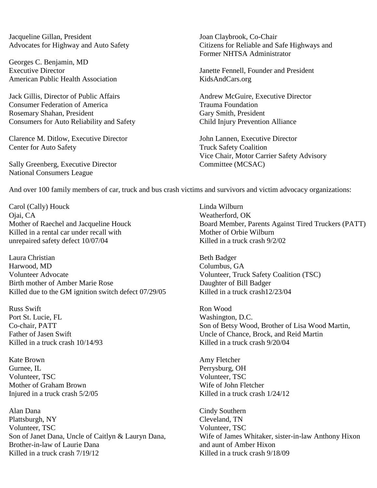Jacqueline Gillan, President Joan Claybrook, Co-Chair

Georges C. Benjamin, MD Executive Director Janette Fennell, Founder and President American Public Health Association KidsAndCars.org

Jack Gillis, Director of Public Affairs Andrew McGuire, Executive Director **Consumer Federation of America** Trauma Foundation Rosemary Shahan, President Gary Smith, President Gary Smith, President Consumers for Auto Reliability and Safety Child Injury Prevention Alliance

Clarence M. Ditlow, Executive Director John Lannen, Executive Director Center for Auto Safety Truck Safety Coalition

Sally Greenberg, Executive Director Committee (MCSAC) National Consumers League

Advocates for Highway and Auto Safety Citizens for Reliable and Safe Highways and Former NHTSA Administrator

Vice Chair, Motor Carrier Safety Advisory

And over 100 family members of car, truck and bus crash victims and survivors and victim advocacy organizations:

Carol (Cally) Houck Linda Wilburn<br>
Ojai, CA Weatherford, C Killed in a rental car under recall with Mother of Orbie Wilburn unrepaired safety defect 10/07/04 Killed in a truck crash 9/2/02

Laura Christian Beth Badger Harwood, MD Columbus, GA Volunteer Advocate<br>
Volunteer, Truck Safety Coalition (TSC)<br>
Daughter of Bill Badger Birth mother of Amber Marie Rose Killed due to the GM ignition switch defect  $07/29/05$  Killed in a truck crash12/23/04

Russ Swift Ron Wood Port St. Lucie, FL Washington, D.C. Killed in a truck crash  $10/14/93$  Killed in a truck crash  $9/20/04$ 

Kate Brown **Amy Fletcher** Amy Fletcher Gurnee, IL **Perrysburg**, OH Volunteer, TSC Volunteer, TSC Mother of Graham Brown Nilliam School and Mother Wife of John Fletcher

Alan Dana Cindy Southern Plattsburgh, NY Cleveland, TN Volunteer, TSC Volunteer, TSC Brother-in-law of Laurie Dana and aunt of Amber Hixon Killed in a truck crash  $7/19/12$  Killed in a truck crash  $9/18/09$ 

Weatherford, OK Mother of Raechel and Jacqueline Houck Board Member, Parents Against Tired Truckers (PATT)

Co-chair, PATT Son of Betsy Wood, Brother of Lisa Wood Martin, Father of Jasen Swift Uncle of Chance, Brock, and Reid Martin

Injured in a truck crash  $\frac{5}{205}$  Killed in a truck crash  $\frac{1}{24/12}$ 

Son of Janet Dana, Uncle of Caitlyn & Lauryn Dana, Wife of James Whitaker, sister-in-law Anthony Hixon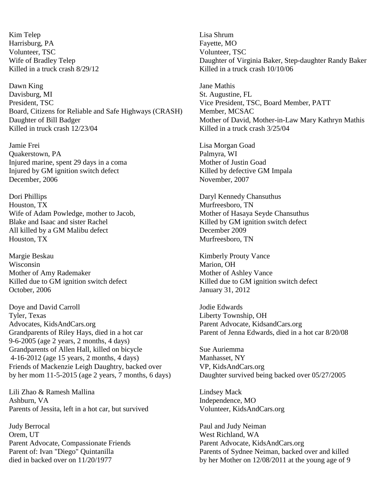Kim Telep Lisa Shrum Harrisburg, PA Fayette, MO Volunteer, TSC Volunteer, TSC

Dawn King Jane Mathis Davisburg, MI St. Augustine, FL<br>President, TSC St. Augustine, FL<br>Vice President. TSC Board, Citizens for Reliable and Safe Highways (CRASH) Member, MCSAC Daughter of Bill Badger Mother of David, Mother-in-Law Mary Kathryn Mathis Killed in truck crash  $12/23/04$  Killed in a truck crash  $3/25/04$ 

Jamie Frei Lisa Morgan Goad Quakerstown, PA Palmyra, WI Injured marine, spent 29 days in a coma Mother of Justin Goad Injured by GM ignition switch defect Killed by defective GM Impala December, 2006 November, 2007

Dori Phillips Daryl Kennedy Chansuthus Houston, TX and the state of the state of the Murfreesboro, TN Wife of Adam Powledge, mother to Jacob, Mother of Hasaya Seyde Chansuthus Blake and Isaac and sister Rachel Killed by GM ignition switch defect All killed by a GM Malibu defect December 2009 Houston, TX and the state of the state of the Murfreesboro, TN

Margie Beskau Kimberly Prouty Vance Wisconsin Marion, OH Mother of Amy Rademaker Mother of Ashley Vance Killed due to GM ignition switch defect Killed due to GM ignition switch defect October, 2006 January 31, 2012

Doye and David Carroll 50 and David Carroll 50 and 10 and 10 and 10 and 10 and 10 and 10 and 10 and 10 and 10 and 10 and 10 and 10 and 10 and 10 and 10 and 10 and 10 and 10 and 10 and 10 and 10 and 10 and 10 and 10 and 10 Advocates, KidsAndCars.org Parent Advocate, KidsandCars.org Grandparents of Riley Hays, died in a hot car Parent of Jenna Edwards, died in a hot car 8/20/08 9-6-2005 (age 2 years, 2 months, 4 days) Grandparents of Allen Hall, killed on bicycle Sue Auriemma 4-16-2012 (age 15 years, 2 months, 4 days) Manhasset, NY Friends of Mackenzie Leigh Daughtry, backed over VP, KidsAndCars.org by her mom 11-5-2015 (age 2 years, 7 months, 6 days) Daughter survived being backed over 05/27/2005

Lili Zhao & Ramesh Mallina **Lindsey Mack** Lindsey Mack Ashburn, VA **Independence**, MO Parents of Jessita, left in a hot car, but survived Volunteer, KidsAndCars.org

Judy Berrocal Paul and Judy Neiman Orem, UT West Richland, WA Parent Advocate, Compassionate Friends Parent Advocate, [KidsAndCars.org](http://kidsandcars.org/)

Wife of Bradley Telep **Daughter of Virginia Baker**, Step-daughter Randy Baker Killed in a truck crash  $8/29/12$  Killed in a truck crash  $10/10/06$ 

Vice President, TSC, Board Member, PATT

Liberty Township, OH

Parent of: Ivan "Diego" Quintanilla Parents of Sydnee Neiman, backed over and killed died in backed over on 11/20/1977 by her Mother on 12/08/2011 at the young age of 9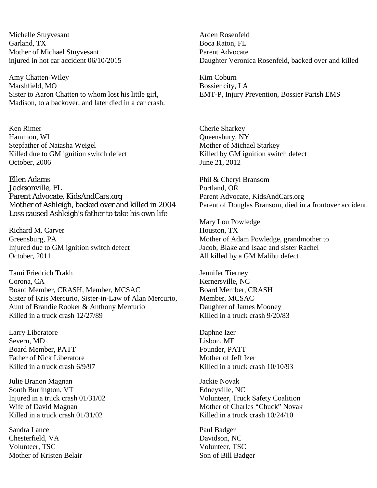Michelle Stuyvesant **Arden** Rosenfeld Garland, TX Boca Raton, FL Mother of Michael Stuyvesant Parent Advocate

Amy Chatten-Wiley Kim Coburn<br>
Marshfield, MO<br>
Bossier city, Sister to Aaron Chatten to whom lost his little girl, EMT-P, Injury Prevention, Bossier Parish EMS Madison, to a backover, and later died in a car crash.

Ken Rimer Cherie Sharkey Hammon, WI Queensbury, NY Stepfather of Natasha Weigel Mother of Michael Starkey Killed due to GM ignition switch defect Killed by GM ignition switch defect October, 2006 June 21, 2012

Ellen Adams Phil & Cheryl Bransom Jacksonville, FL Portland, OR Parent Advocate, KidsAndCars.org Parent Advocate, KidsAndCars.org Loss caused Ashleigh's father to take his own life

Richard M. Carver **Houston, TX** Injured due to GM ignition switch defect Jacob, Blake and Isaac and sister Rachel October, 2011 **All killed by a GM Malibu defect** 

Tami Friedrich Trakh Jennifer Tierney Corona, CA Kernersville, NC Board Member, CRASH, Member, MCSAC Board Member, CRASH Sister of Kris Mercurio, Sister-in-Law of Alan Mercurio, Member, MCSAC Aunt of Brandie Rooker & Anthony Mercurio Daughter of James Mooney<br>Killed in a truck crash 12/27/89 Killed in a truck crash 9/20/83 Killed in a truck crash  $12/27/89$ 

Larry Liberatore Daphne Izer Severn, MD Lisbon, ME Board Member, PATT Founder, PATT Father of Nick Liberatore The Mother of Jeff Izer

Julie Branon Magnan Jackie Novak South Burlington, VT Edneyville, NC Killed in a truck crash  $01/31/02$  Killed in a truck crash  $10/24/10$ 

Sandra Lance Paul Badger Chesterfield, VA Davidson, NC Volunteer, TSC Volunteer, TSC Mother of Kristen Belair Son of Bill Badger

injured in hot car accident 06/10/2015 Daughter Veronica Rosenfeld, backed over and killed

Bossier city, LA

Mother of Ashleigh, backed over and killed in 2004 Parent of Douglas Bransom, died in a frontover accident.

Mary Lou Powledge Greensburg, PA Mother of Adam Powledge, grandmother to

Killed in a truck crash 6/9/97 Killed in a truck crash 10/10/93

Injured in a truck crash 01/31/02 Volunteer, Truck Safety Coalition Wife of David Magnan Mother of Charles "Chuck" Novak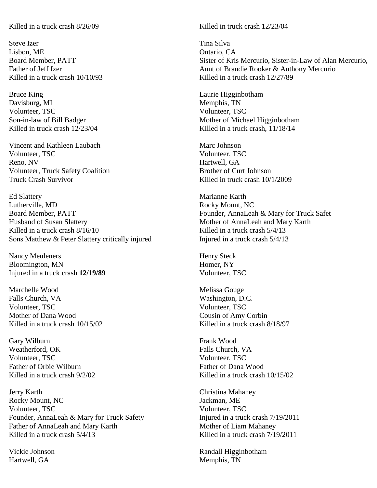Steve Izer Tina Silva Lisbon, ME **Ontario, CA** 

Bruce King **Laurie Higginbotham** Davisburg, MI Memphis, TN Volunteer, TSC Volunteer, TSC

Vincent and Kathleen Laubach Marc Johnson Volunteer, TSC Volunteer, TSC Reno, NV Hartwell, GA Volunteer, Truck Safety Coalition Brother of Curt Johnson Truck Crash Survivor **Killed** in truck crash 10/1/2009

Ed Slattery Marianne Karth Lutherville, MD Rocky Mount, NC Board Member, PATT Founder, AnnaLeah & Mary for Truck Safet Husband of Susan Slattery Mother of AnnaLeah and Mary Karth Killed in a truck crash  $8/16/10$  Killed in a truck crash  $5/4/13$ Sons Matthew & Peter Slattery critically injured Injured Injured in a truck crash  $5/4/13$ 

Nancy Meuleners Henry Steck Bloomington, MN Homer, NY Injured in a truck crash **12/19/89** Volunteer, TSC

Marchelle Wood **Marchelle Wood** Melissa Gouge Falls Church, VA Washington, D.C. Volunteer, TSC<br>
Mother of Dana Wood<br>
Mother of Dana Wood<br>
Cousin of Amy Killed in a truck crash  $10/15/02$  Killed in a truck crash  $8/18/97$ 

Gary Wilburn Frank Wood Weatherford, OK Falls Church, VA Volunteer, TSC Volunteer, TSC Father of Orbie Wilburn Father of Dana Wood

Jerry Karth Christina Mahaney Rocky Mount, NC 3. The United States of the United States of Tackman, ME Volunteer, TSC Volunteer, TSC Founder, AnnaLeah & Mary for Truck Safety Injured in a truck crash  $7/19/2011$ Father of AnnaLeah and Mary Karth Mother of Liam Mahaney Killed in a truck crash  $5/4/13$  Killed in a truck crash  $7/19/2011$ 

Hartwell, GA Memphis, TN

Killed in a truck crash  $8/26/09$  Killed in truck crash 12/23/04

Board Member, PATT Sister of Kris Mercurio, Sister-in-Law of Alan Mercurio, Father of Jeff Izer Aunt of Brandie Rooker & Anthony Mercurio Killed in a truck crash  $10/10/93$  Killed in a truck crash  $12/27/89$ 

Son-in-law of Bill Badger Mother of Michael Higginbotham Killed in truck crash  $12/23/04$  Killed in a truck crash,  $11/18/14$ 

Cousin of Amy Corbin

Killed in a truck crash  $9/2/02$  Killed in a truck crash  $10/15/02$ 

Vickie Johnson Randall Higginbotham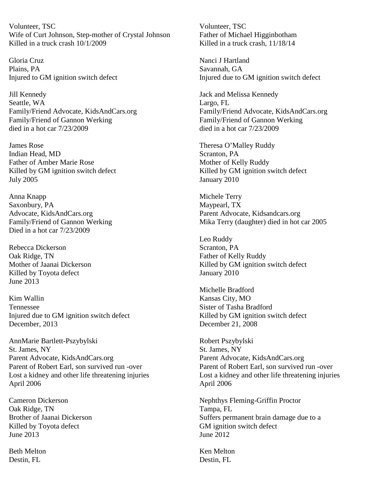Volunteer, TSC Volunteer, TSC Wife of Curt Johnson, Step-mother of Crystal Johnson Father of Michael Higginbotham Killed in a truck crash  $10/1/2009$  Killed in a truck crash,  $11/18/14$ 

Gloria Cruz **Nanci J Hartland** Plains, PA Savannah, GA

Jill Kennedy Jack and Melissa Kennedy Seattle, WA Largo, FL Family/Friend of Gannon Werking Family/Friend of Gannon Werking died in a hot car 7/23/2009 died in a hot car 7/23/2009

James Rose Theresa O'Malley Ruddy Indian Head, MD Scranton, PA Father of Amber Marie Rose Mother of Kelly Ruddy Killed by GM ignition switch defect Killed by GM ignition switch defect July 2005 January 2010

Anna Knapp Michele Terry Saxonbury, PA Maypearl, TX Advocate, KidsAndCars.org Parent Advocate, [Kidsandcars.org](http://kidsandcars.org/) Died in a hot car 7/23/2009

Rebecca Dickerson Scranton, PA Oak Ridge, TN Father of Kelly Ruddy Killed by Toyota defect January 2010 June 2013

Kim Wallin Kansas City, MO Tennessee Sister of Tasha Bradford Injured due to GM ignition switch defect Killed by GM ignition switch defect December, 2013 December 21, 2008

AnnMarie Bartlett-Pszybylski komponent Robert Pszybylski St. James, NY<br>
Parent Advocate, KidsAndCars.org<br>
Parent Advocate, KidsAndCars.org<br>
Parent Advocate, KidsAndCars.org Parent Advocate, [KidsAndCars.org](http://kidsandcars.org/) Parent of Robert Earl, son survived run -over Parent of Robert Earl, son survived run -over April 2006 April 2006

Oak Ridge, TN Tampa, FL Killed by Toyota defect GM ignition switch defect June 2013 June 2012

Beth Melton News Accounts and the Melton Ken Melton News Accounts Accounts Accounts Accounts Accounts Accounts Accounts Accounts Accounts Accounts Accounts Accounts Accounts Accounts Accounts Accounts Accounts Accounts Acc Destin, FL Destin, FL

Injured to GM ignition switch defect Injured due to GM ignition switch defect

Family/Friend Advocate, KidsAndCars.org Family/Friend Advocate, KidsAndCars.org

Family/Friend of Gannon Werking Mika Terry (daughter) died in hot car 2005

Leo Ruddy Mother of Jaanai Dickerson Killed by GM ignition switch defect

Michelle Bradford

Lost a kidney and other life threatening injuries Lost a kidney and other life threatening injuries

Cameron Dickerson Nephthys Fleming-Griffin Proctor Brother of Jaanai Dickerson Suffers permanent brain damage due to a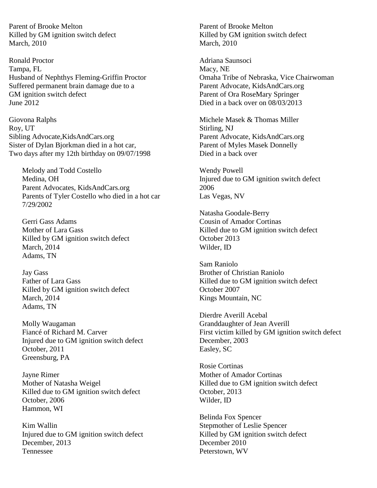Parent of Brooke Melton **Parent of Brooke Melton** Killed by GM ignition switch defect Killed by GM ignition switch defect March, 2010 March, 2010

Ronald Proctor **Adriana** Saunsoci Tampa, FL Macy, NE Husband of Nephthys Fleming-Griffin Proctor Omaha Tribe of Nebraska, Vice Chairwoman Suffered permanent brain damage due to a Parent Advocate, [KidsAndCars.org](http://kidsandcars.org/) GM ignition switch defect Parent of Ora RoseMary Springer<br>
June 2012<br>
Died in a back over on 08/03/2013

Giovona Ralphs Michele Masek & Thomas Miller Roy, UT Stirling, NJ Sibling Advocate[,KidsAndCars.org](http://kidsandcars.org/) Parent Advocate, KidsAndCars.org Sister of Dylan Bjorkman died in a hot car, Parent of Myles Masek Donnelly Two days after my 12th birthday on 09/07/1998 Died in a back over

Melody and Todd Costello Medina, OH Parent Advocates, KidsAndCars.org Parents of Tyler Costello who died in a hot car 7/29/2002

Gerri Gass Adams Mother of Lara Gass Killed by GM ignition switch defect March, 2014 Adams, TN

Jay Gass Father of Lara Gass Killed by GM ignition switch defect March, 2014 Adams, TN

Molly Waugaman Fiancé of Richard M. Carver Injured due to GM ignition switch defect October, 2011 Greensburg, PA

Jayne Rimer Mother of Natasha Weigel Killed due to GM ignition switch defect October, 2006 Hammon, WI

Kim Wallin Injured due to GM ignition switch defect December, 2013 Tennessee

Died in a back over on  $08/03/2013$ 

Wendy Powell Injured due to GM ignition switch defect 2006 Las Vegas, NV

Natasha Goodale-Berry Cousin of Amador Cortinas Killed due to GM ignition switch defect October 2013 Wilder, ID

Sam Raniolo Brother of Christian Raniolo Killed due to GM ignition switch defect October 2007 Kings Mountain, NC

Dierdre Averill Acebal Granddaughter of Jean Averill First victim killed by GM ignition switch defect December, 2003 Easley, SC

Rosie Cortinas Mother of Amador Cortinas Killed due to GM ignition switch defect October, 2013 Wilder, ID

Belinda Fox Spencer Stepmother of Leslie Spencer Killed by GM ignition switch defect December 2010 Peterstown, WV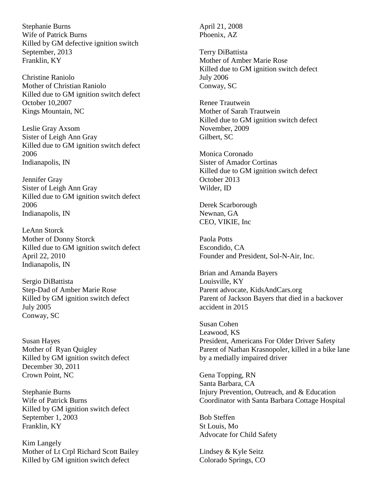Stephanie Burns Wife of Patrick Burns Killed by GM defective ignition switch September, 2013 Franklin, KY

Christine Raniolo Mother of Christian Raniolo Killed due to GM ignition switch defect October 10,2007 Kings Mountain, NC

Leslie Gray Axsom Sister of Leigh Ann Gray Killed due to GM ignition switch defect 2006 Indianapolis, IN

Jennifer Gray Sister of Leigh Ann Gray Killed due to GM ignition switch defect 2006 Indianapolis, IN

LeAnn Storck Mother of Donny Storck Killed due to GM ignition switch defect April 22, 2010 Indianapolis, IN

Sergio DiBattista Step-Dad of Amber Marie Rose Killed by GM ignition switch defect July 2005 Conway, SC

Susan Hayes Mother of Ryan Quigley Killed by GM ignition switch defect December 30, 2011 Crown Point, NC

Stephanie Burns Wife of Patrick Burns Killed by GM ignition switch defect September 1, 2003 Franklin, KY

Kim Langely Mother of Lt Crpl Richard Scott Bailey Killed by GM ignition switch defect

April 21, 2008 Phoenix, AZ

Terry DiBattista Mother of Amber Marie Rose Killed due to GM ignition switch defect July 2006 Conway, SC

Renee Trautwein Mother of Sarah Trautwein Killed due to GM ignition switch defect November, 2009 Gilbert, SC

Monica Coronado Sister of Amador Cortinas Killed due to GM ignition switch defect October 2013 Wilder, ID

Derek Scarborough Newnan, GA CEO, VIKIE, Inc

Paola Potts Escondido, CA Founder and President, Sol-N-Air, Inc.

Brian and Amanda Bayers Louisville, KY Parent advocate, KidsAndCars.org Parent of Jackson Bayers that died in a backover accident in 2015

Susan Cohen Leawood, KS President, Americans For Older Driver Safety Parent of Nathan Krasnopoler, killed in a bike lane by a medially impaired driver

Gena Topping, RN Santa Barbara, CA Injury Prevention, Outreach, and & Education Coordinator with Santa Barbara Cottage Hospital

Bob Steffen St Louis, Mo Advocate for Child Safety

Lindsey & Kyle Seitz Colorado Springs, CO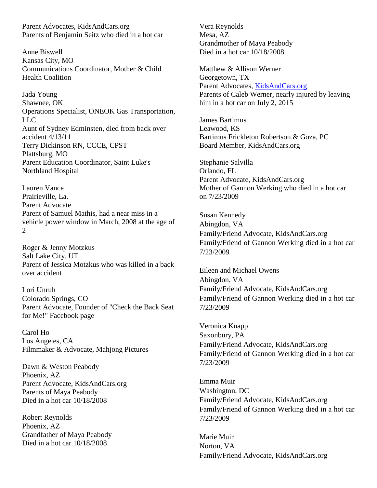Parent Advocates, KidsAndCars.org Parents of Benjamin Seitz who died in a hot car

Anne Biswell Kansas City, MO Communications Coordinator, Mother & Child Health Coalition

Jada Young Shawnee, OK Operations Specialist, ONEOK Gas Transportation, LLC Aunt of Sydney Edminsten, died from back over accident 4/13/11 Terry Dickinson RN, CCCE, CPST Plattsburg, MO Parent Education Coordinator, Saint Luke's Northland Hospital

Lauren Vance Prairieville, La. Parent Advocate Parent of Samuel Mathis, had a near miss in a vehicle power window in March, 2008 at the age of 2

Roger & Jenny Motzkus Salt Lake City, UT Parent of Jessica Motzkus who was killed in a back over accident

Lori Unruh Colorado Springs, CO Parent Advocate, Founder of "Check the Back Seat for Me!" Facebook page

Carol Ho Los Angeles, CA Filmmaker & Advocate, Mahjong Pictures

Dawn & Weston Peabody Phoenix, AZ Parent Advocate, KidsAndCars.org Parents of Maya Peabody Died in a hot car 10/18/2008

Robert Reynolds Phoenix, AZ Grandfather of Maya Peabody Died in a hot car 10/18/2008

Vera Reynolds Mesa, AZ Grandmother of Maya Peabody Died in a hot car 10/18/2008

Matthew & Allison Werner Georgetown, TX Parent Advocates, [KidsAndCars.org](http://kidsandcars.org/) Parents of Caleb Werner, nearly injured by leaving him in a hot car on July 2, 2015

James Bartimus Leawood, KS Bartimus Frickleton Robertson & Goza, PC Board Member, KidsAndCars.org

Stephanie Salvilla Orlando, FL Parent Advocate, KidsAndCars.org Mother of Gannon Werking who died in a hot car on 7/23/2009

Susan Kennedy Abingdon, VA Family/Friend Advocate, KidsAndCars.org Family/Friend of Gannon Werking died in a hot car 7/23/2009

Eileen and Michael Owens Abingdon, VA Family/Friend Advocate, KidsAndCars.org Family/Friend of Gannon Werking died in a hot car 7/23/2009

Veronica Knapp Saxonbury, PA Family/Friend Advocate, KidsAndCars.org Family/Friend of Gannon Werking died in a hot car 7/23/2009

Emma Muir Washington, DC Family/Friend Advocate, KidsAndCars.org Family/Friend of Gannon Werking died in a hot car 7/23/2009

Marie Muir Norton, VA Family/Friend Advocate, KidsAndCars.org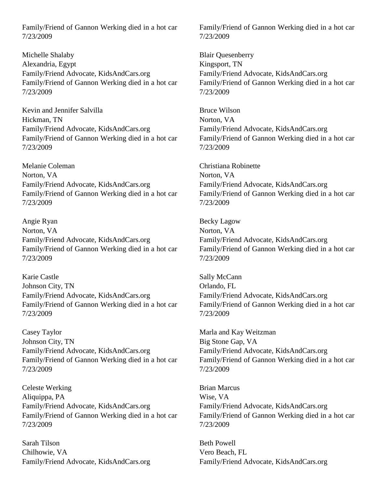Family/Friend of Gannon Werking died in a hot car 7/23/2009

Michelle Shalaby Alexandria, Egypt Family/Friend Advocate, KidsAndCars.org Family/Friend of Gannon Werking died in a hot car 7/23/2009

Kevin and Jennifer Salvilla Hickman, TN Family/Friend Advocate, KidsAndCars.org Family/Friend of Gannon Werking died in a hot car 7/23/2009

Melanie Coleman Norton, VA Family/Friend Advocate, KidsAndCars.org Family/Friend of Gannon Werking died in a hot car 7/23/2009

Angie Ryan Norton, VA Family/Friend Advocate, KidsAndCars.org Family/Friend of Gannon Werking died in a hot car 7/23/2009

Karie Castle Johnson City, TN Family/Friend Advocate, KidsAndCars.org Family/Friend of Gannon Werking died in a hot car 7/23/2009

Casey Taylor Johnson City, TN Family/Friend Advocate, KidsAndCars.org Family/Friend of Gannon Werking died in a hot car 7/23/2009

Celeste Werking Aliquippa, PA Family/Friend Advocate, KidsAndCars.org Family/Friend of Gannon Werking died in a hot car 7/23/2009

Sarah Tilson Chilhowie, VA Family/Friend Advocate, KidsAndCars.org Family/Friend of Gannon Werking died in a hot car 7/23/2009

Blair Quesenberry Kingsport, TN Family/Friend Advocate, KidsAndCars.org Family/Friend of Gannon Werking died in a hot car 7/23/2009

Bruce Wilson Norton, VA Family/Friend Advocate, KidsAndCars.org Family/Friend of Gannon Werking died in a hot car 7/23/2009

Christiana Robinette Norton, VA Family/Friend Advocate, KidsAndCars.org Family/Friend of Gannon Werking died in a hot car 7/23/2009

Becky Lagow Norton, VA Family/Friend Advocate, KidsAndCars.org Family/Friend of Gannon Werking died in a hot car 7/23/2009

Sally McCann Orlando, FL Family/Friend Advocate, KidsAndCars.org Family/Friend of Gannon Werking died in a hot car 7/23/2009

Marla and Kay Weitzman Big Stone Gap, VA Family/Friend Advocate, KidsAndCars.org Family/Friend of Gannon Werking died in a hot car 7/23/2009

Brian Marcus Wise, VA Family/Friend Advocate, KidsAndCars.org Family/Friend of Gannon Werking died in a hot car 7/23/2009

Beth Powell Vero Beach, FL Family/Friend Advocate, KidsAndCars.org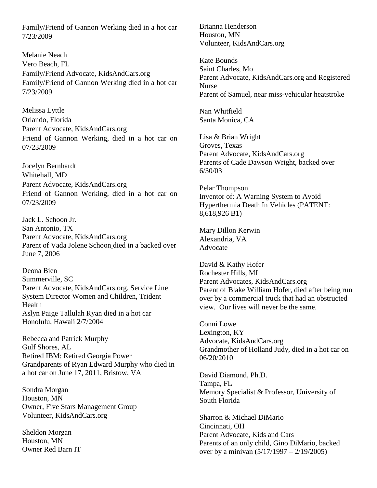Family/Friend of Gannon Werking died in a hot car 7/23/2009

Melanie Neach Vero Beach, FL Family/Friend Advocate, KidsAndCars.org Family/Friend of Gannon Werking died in a hot car 7/23/2009

Melissa Lyttle Orlando, Florida Parent Advocate, KidsAndCars.org Friend of Gannon Werking, died in a hot car on 07/23/2009

Jocelyn Bernhardt Whitehall, MD Parent Advocate, KidsAndCars.org Friend of Gannon Werking, died in a hot car on 07/23/2009

Jack L. Schoon Jr. San Antonio, TX Parent Advocate, KidsAndCars.org Parent of Vada Jolene Schoon died in a backed over June 7, 2006

Deona Bien Summerville, SC Parent Advocate, KidsAndCars.org. Service Line System Director Women and Children, Trident Health Aslyn Paige Tallulah Ryan died in a hot car Honolulu, Hawaii 2/7/2004

Rebecca and Patrick Murphy Gulf Shores, AL Retired IBM: Retired Georgia Power Grandparents of Ryan Edward Murphy who died in a hot car on June 17, 2011, Bristow, VA

Sondra Morgan Houston, MN Owner, Five Stars Management Group Volunteer, KidsAndCars.org

Sheldon Morgan Houston, MN Owner Red Barn IT Brianna Henderson Houston, MN Volunteer, KidsAndCars.org

Kate Bounds Saint Charles, Mo Parent Advocate, KidsAndCars.org and Registered Nurse Parent of Samuel, near miss-vehicular heatstroke

Nan Whitfield Santa Monica, CA

Lisa & Brian Wright Groves, Texas Parent Advocate, KidsAndCars.org Parents of Cade Dawson Wright, backed over 6/30/03

Pelar Thompson Inventor of: A Warning System to Avoid Hyperthermia Death In Vehicles (PATENT: 8,618,926 B1)

Mary Dillon Kerwin Alexandria, VA Advocate

David & Kathy Hofer Rochester Hills, MI Parent Advocates, KidsAndCars.org Parent of Blake William Hofer, died after being run over by a commercial truck that had an obstructed view. Our lives will never be the same.

Conni Lowe Lexington, KY Advocate, KidsAndCars.org Grandmother of Holland Judy, died in a hot car on 06/20/2010

David Diamond, Ph.D. Tampa, FL Memory Specialist & Professor, University of South Florida

Sharron & Michael DiMario Cincinnati, OH Parent Advocate, Kids and Cars Parents of an only child, Gino DiMario, backed over by a minivan (5/17/1997 – 2/19/2005)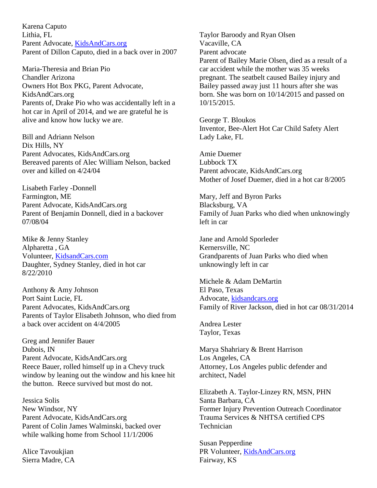Karena Caputo Lithia, FL Parent Advocate, [KidsAndCars.org](http://kidsandcars.org/) Parent of Dillon Caputo, died in a back over in 2007

Maria-Theresia and Brian Pio Chandler Arizona Owners Hot Box PKG, Parent Advocate, KidsAndCars.org Parents of, Drake Pio who was accidentally left in a hot car in April of 2014, and we are grateful he is alive and know how lucky we are.

Bill and Adriann Nelson Dix Hills, NY Parent Advocates, KidsAndCars.org Bereaved parents of Alec William Nelson, backed over and killed on 4/24/04

Lisabeth Farley -Donnell Farmington, ME Parent Advocate, KidsAndCars.org Parent of Benjamin Donnell, died in a backover 07/08/04

Mike & Jenny Stanley Alpharetta , GA Volunteer, [KidsandCars.com](http://kidsandcars.com/) Daughter, Sydney Stanley, died in hot car 8/22/2010

Anthony & Amy Johnson Port Saint Lucie, FL Parent Advocates, KidsAndCars.org Parents of Taylor Elisabeth Johnson, who died from a back over accident on 4/4/2005

Greg and Jennifer Bauer Dubois, IN Parent Advocate, KidsAndCars.org Reece Bauer, rolled himself up in a Chevy truck window by leaning out the window and his knee hit the button. Reece survived but most do not.

Jessica Solis New Windsor, NY Parent Advocate, KidsAndCars.org Parent of Colin James Walminski, backed over while walking home from School 11/1/2006

Alice Tavoukjian Sierra Madre, CA Taylor Baroody and Ryan Olsen Vacaville, CA Parent advocate Parent of Bailey Marie Olsen, died as a result of a car accident while the mother was 35 weeks pregnant. The seatbelt caused Bailey injury and Bailey passed away just 11 hours after she was born. She was born on 10/14/2015 and passed on 10/15/2015.

George T. Bloukos Inventor, Bee-Alert Hot Car Child Safety Alert Lady Lake, FL

Amie Duemer Lubbock TX Parent advocate, KidsAndCars.org Mother of Josef Duemer, died in a hot car 8/2005

Mary, Jeff and Byron Parks Blacksburg, VA Family of Juan Parks who died when unknowingly left in car

Jane and Arnold Sporleder Kernersville, NC Grandparents of Juan Parks who died when unknowingly left in car

Michele & Adam DeMartin El Paso, Texas Advocate, [kidsandcars.org](http://kidsandcars.org/) Family of River Jackson, died in hot car 08/31/2014

Andrea Lester Taylor, Texas

Marya Shahriary & Brent Harrison Los Angeles, CA Attorney, Los Angeles public defender and architect, Nadel

Elizabeth A. Taylor-Linzey RN, MSN, PHN Santa Barbara, CA Former Injury Prevention Outreach Coordinator Trauma Services & NHTSA certified CPS **Technician** 

Susan Pepperdine PR Volunteer, [KidsAndCars.org](http://kidsandcars.org/) Fairway, KS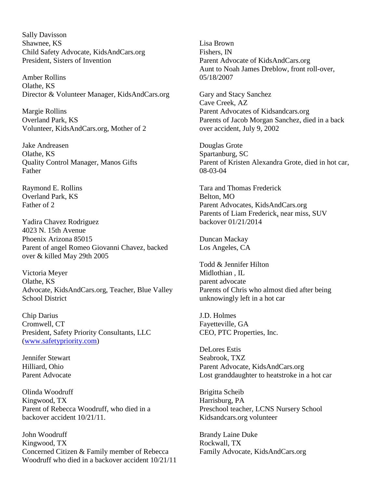Sally Davisson Shawnee, KS Child Safety Advocate, KidsAndCars.org President, Sisters of Invention

Amber Rollins Olathe, KS Director & Volunteer Manager, KidsAndCars.org

Margie Rollins Overland Park, KS Volunteer, KidsAndCars.org, Mother of 2

Jake Andreasen Olathe, KS Quality Control Manager, Manos Gifts Father

Raymond E. Rollins Overland Park, KS Father of 2

Yadira Chavez Rodriguez 4023 N. 15th Avenue Phoenix Arizona 85015 Parent of angel Romeo Giovanni Chavez, backed over & killed May 29th 2005

Victoria Meyer Olathe, KS Advocate, KidsAndCars.org, Teacher, Blue Valley School District

Chip Darius Cromwell, CT President, Safety Priority Consultants, LLC [\(www.safetypriority.com\)](http://www.safetypriority.com/)

Jennifer Stewart Hilliard, Ohio Parent Advocate

Olinda Woodruff Kingwood, TX Parent of Rebecca Woodruff, who died in a backover accident 10/21/11.

John Woodruff Kingwood, TX Concerned Citizen & Family member of Rebecca Woodruff who died in a backover accident 10/21/11 Lisa Brown Fishers, IN Parent Advocate of KidsAndCars.org Aunt to Noah James Dreblow, front roll-over, 05/18/2007

Gary and Stacy Sanchez Cave Creek, AZ Parent Advocates of Kidsandcars.org Parents of Jacob Morgan Sanchez, died in a back over accident, July 9, 2002

Douglas Grote Spartanburg, SC Parent of Kristen Alexandra Grote, died in hot car, 08-03-04

Tara and Thomas Frederick Belton, MO Parent Advocates, KidsAndCars.org Parents of Liam Frederick, near miss, SUV backover 01/21/2014

Duncan Mackay Los Angeles, CA

Todd & Jennifer Hilton Midlothian , IL parent advocate Parents of Chris who almost died after being unknowingly left in a hot car

J.D. Holmes Fayetteville, GA CEO, PTC Properties, Inc.

DeLores Estis Seabrook, TXZ Parent Advocate, KidsAndCars.org Lost granddaughter to heatstroke in a hot car

Brigitta Scheib Harrisburg, PA Preschool teacher, LCNS Nursery School Kidsandcars.org volunteer

Brandy Laine Duke Rockwall, TX Family Advocate, KidsAndCars.org